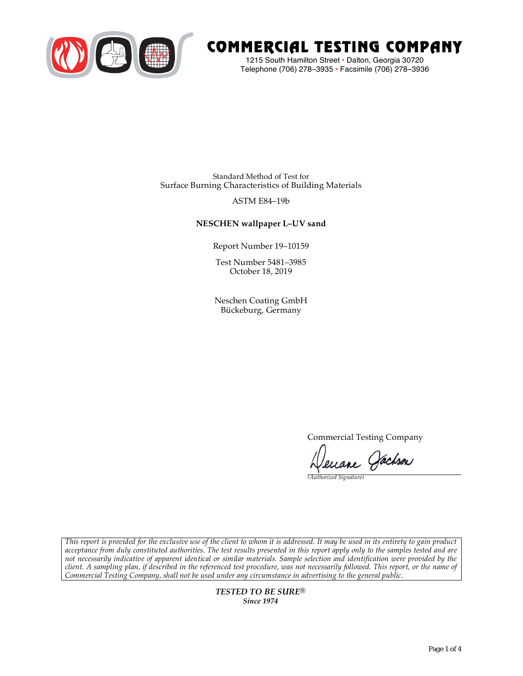

# COMMERCIAL TESTING COMPANY

1215 South Hamilton Street • Dalton, Georgia 30720 Telephone (706) 278–3935 **•** Facsimile (706) 278–3936

Standard Method of Test for Surface Burning Characteristics of Building Materials

# ASTM E84–19b

# **NESCHEN wallpaper L–UV sand**

Report Number 19–10159

Test Number 5481–3985 October 18, 2019

Neschen Coating GmbH Bückeburg, Germany

Commercial Testing Company

Jenane Pachson

*(Authorized Signature)* 

*This report is provided for the exclusive use of the client to whom it is addressed. It may be used in its entirety to gain product acceptance from duly constituted authorities. The test results presented in this report apply only to the samples tested and are not necessarily indicative of apparent identical or similar materials. Sample selection and identification were provided by the client. A sampling plan, if described in the referenced test procedure, was not necessarily followed. This report, or the name of Commercial Testing Company, shall not be used under any circumstance in advertising to the general public.* 

> *TESTED TO BE SURE® Since 1974*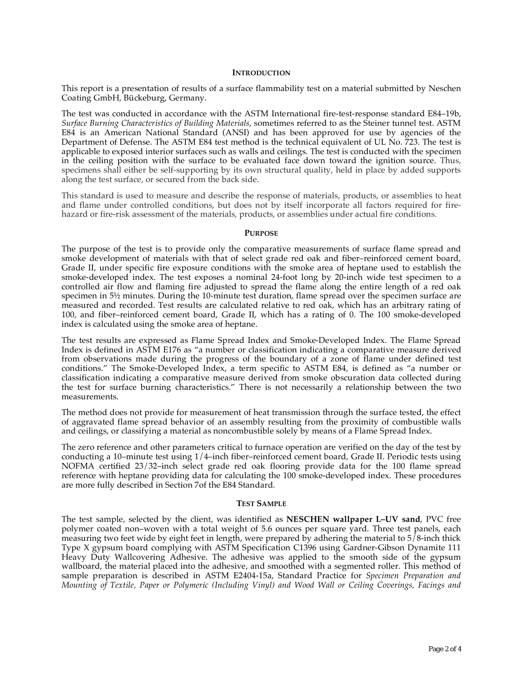#### **INTRODUCTION**

This report is a presentation of results of a surface flammability test on a material submitted by Neschen Coating GmbH, Bückeburg, Germany.

The test was conducted in accordance with the ASTM International fire-test-response standard E84–19b, *Surface Burning Characteristics of Building Materials*, sometimes referred to as the Steiner tunnel test. ASTM E84 is an American National Standard (ANSI) and has been approved for use by agencies of the Department of Defense. The ASTM E84 test method is the technical equivalent of UL No. 723. The test is applicable to exposed interior surfaces such as walls and ceilings. The test is conducted with the specimen in the ceiling position with the surface to be evaluated face down toward the ignition source. Thus, specimens shall either be self-supporting by its own structural quality, held in place by added supports along the test surface, or secured from the back side.

This standard is used to measure and describe the response of materials, products, or assemblies to heat and flame under controlled conditions, but does not by itself incorporate all factors required for firehazard or fire-risk assessment of the materials, products, or assemblies under actual fire conditions.

#### **PURPOSE**

The purpose of the test is to provide only the comparative measurements of surface flame spread and smoke development of materials with that of select grade red oak and fiber–reinforced cement board, Grade II, under specific fire exposure conditions with the smoke area of heptane used to establish the smoke-developed index. The test exposes a nominal 24-foot long by 20-inch wide test specimen to a controlled air flow and flaming fire adjusted to spread the flame along the entire length of a red oak specimen in  $5\frac{1}{2}$  minutes. During the 10-minute test duration, flame spread over the specimen surface are measured and recorded. Test results are calculated relative to red oak, which has an arbitrary rating of 100, and fiber–reinforced cement board, Grade II, which has a rating of 0. The 100 smoke-developed index is calculated using the smoke area of heptane.

The test results are expressed as Flame Spread Index and Smoke-Developed Index. The Flame Spread Index is defined in ASTM E176 as "a number or classification indicating a comparative measure derived from observations made during the progress of the boundary of a zone of flame under defined test conditions." The Smoke-Developed Index, a term specific to ASTM E84, is defined as "a number or classification indicating a comparative measure derived from smoke obscuration data collected during the test for surface burning characteristics." There is not necessarily a relationship between the two measurements.

The method does not provide for measurement of heat transmission through the surface tested, the effect of aggravated flame spread behavior of an assembly resulting from the proximity of combustible walls and ceilings, or classifying a material as noncombustible solely by means of a Flame Spread Index.

The zero reference and other parameters critical to furnace operation are verified on the day of the test by conducting a 10–minute test using 1/4–inch fiber–reinforced cement board, Grade II. Periodic tests using NOFMA certified 23/32–inch select grade red oak flooring provide data for the 100 flame spread reference with heptane providing data for calculating the 100 smoke-developed index. These procedures are more fully described in Section 7of the E84 Standard.

#### **TEST SAMPLE**

The test sample, selected by the client, was identified as **NESCHEN wallpaper L–UV sand**, PVC free polymer coated non–woven with a total weight of 5.6 ounces per square yard. Three test panels, each measuring two feet wide by eight feet in length, were prepared by adhering the material to  $5/8$ -inch thick Type X gypsum board complying with ASTM Specification C1396 using Gardner-Gibson Dynamite 111 Heavy Duty Wallcovering Adhesive. The adhesive was applied to the smooth side of the gypsum wallboard, the material placed into the adhesive, and smoothed with a segmented roller. This method of sample preparation is described in ASTM E2404-15a, Standard Practice for *Specimen Preparation and Mounting of Textile, Paper or Polymeric (Including Vinyl) and Wood Wall or Ceiling Coverings, Facings and*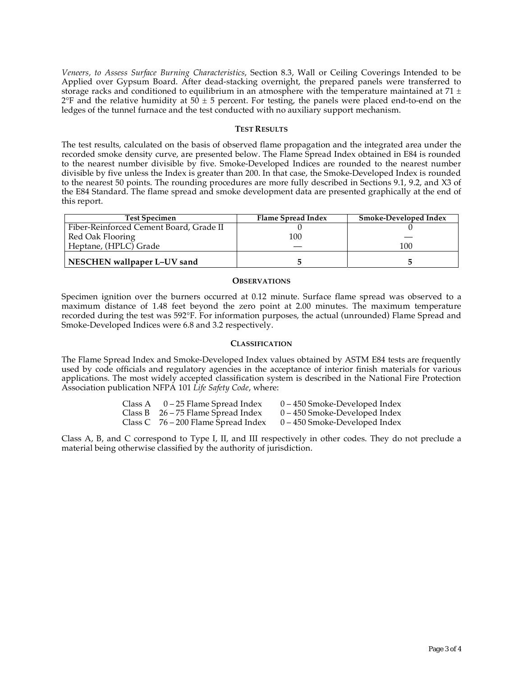*Veneers, to Assess Surface Burning Characteristics*, Section 8.3, Wall or Ceiling Coverings Intended to be Applied over Gypsum Board. After dead-stacking overnight, the prepared panels were transferred to storage racks and conditioned to equilibrium in an atmosphere with the temperature maintained at 71  $\pm$  $2^{\circ}F$  and the relative humidity at 50  $\pm$  5 percent. For testing, the panels were placed end-to-end on the ledges of the tunnel furnace and the test conducted with no auxiliary support mechanism.

#### **TEST RESULTS**

The test results, calculated on the basis of observed flame propagation and the integrated area under the recorded smoke density curve, are presented below. The Flame Spread Index obtained in E84 is rounded to the nearest number divisible by five. Smoke-Developed Indices are rounded to the nearest number divisible by five unless the Index is greater than 200. In that case, the Smoke-Developed Index is rounded to the nearest 50 points. The rounding procedures are more fully described in Sections 9.1, 9.2, and X3 of the E84 Standard. The flame spread and smoke development data are presented graphically at the end of this report.

| <b>Test Specimen</b>                    | Flame Spread Index | Smoke-Developed Index |
|-----------------------------------------|--------------------|-----------------------|
| Fiber-Reinforced Cement Board, Grade II |                    |                       |
| Red Oak Flooring                        | 100                |                       |
| Heptane, (HPLC) Grade                   |                    | 100                   |
| NESCHEN wallpaper L-UV sand             |                    |                       |

#### **OBSERVATIONS**

Specimen ignition over the burners occurred at 0.12 minute. Surface flame spread was observed to a maximum distance of 1.48 feet beyond the zero point at 2.00 minutes. The maximum temperature recorded during the test was 592°F. For information purposes, the actual (unrounded) Flame Spread and Smoke-Developed Indices were 6.8 and 3.2 respectively.

### **CLASSIFICATION**

The Flame Spread Index and Smoke-Developed Index values obtained by ASTM E84 tests are frequently used by code officials and regulatory agencies in the acceptance of interior finish materials for various applications. The most widely accepted classification system is described in the National Fire Protection Association publication NFPA 101 *Life Safety Code*, where:

| Class A | 0 – 25 Flame Spread Index             | $0 - 450$ Smoke-Developed Index |
|---------|---------------------------------------|---------------------------------|
|         | Class B $26 - 75$ Flame Spread Index  | $0 - 450$ Smoke-Developed Index |
|         | Class $C$ 76 – 200 Flame Spread Index | $0 - 450$ Smoke-Developed Index |

Class A, B, and C correspond to Type I, II, and III respectively in other codes. They do not preclude a material being otherwise classified by the authority of jurisdiction.